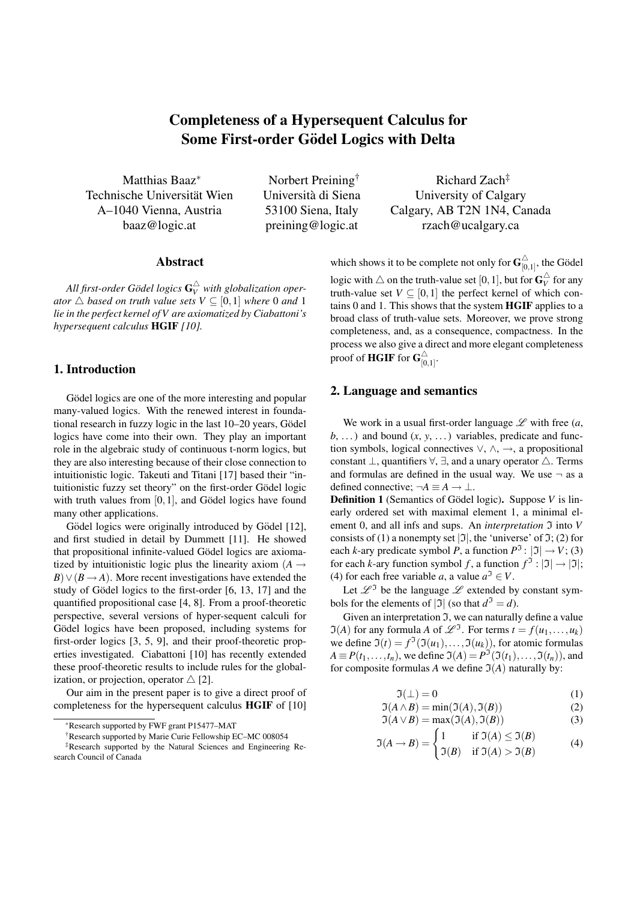# Completeness of a Hypersequent Calculus for Some First-order Gödel Logics with Delta

Matthias Baaz<sup>∗</sup> Technische Universität Wien A–1040 Vienna, Austria baaz@logic.at

Norbert Preining† Universita di Siena ` 53100 Siena, Italy preining@logic.at

### Abstract

All first-order Gödel logics  $\mathbf{G}_{V}^{\triangle}$  with globalization oper*ator*  $\triangle$  *based on truth value sets*  $V \subseteq [0,1]$  *where* 0 *and* 1 *lie in the perfect kernel of V are axiomatized by Ciabattoni's hypersequent calculus* HGIF *[10].*

## 1. Introduction

Gödel logics are one of the more interesting and popular many-valued logics. With the renewed interest in foundational research in fuzzy logic in the last 10–20 years, Gödel logics have come into their own. They play an important role in the algebraic study of continuous t-norm logics, but they are also interesting because of their close connection to intuitionistic logic. Takeuti and Titani [17] based their "intuitionistic fuzzy set theory" on the first-order Gödel logic with truth values from  $[0,1]$ , and Gödel logics have found many other applications.

Gödel logics were originally introduced by Gödel [12], and first studied in detail by Dummett [11]. He showed that propositional infinite-valued Gödel logics are axiomatized by intuitionistic logic plus the linearity axiom  $(A \rightarrow$  $B) \vee (B \rightarrow A)$ . More recent investigations have extended the study of Gödel logics to the first-order  $[6, 13, 17]$  and the quantified propositional case [4, 8]. From a proof-theoretic perspective, several versions of hyper-sequent calculi for Gödel logics have been proposed, including systems for first-order logics [3, 5, 9], and their proof-theoretic properties investigated. Ciabattoni [10] has recently extended these proof-theoretic results to include rules for the globalization, or projection, operator  $\triangle$  [2].

Our aim in the present paper is to give a direct proof of completeness for the hypersequent calculus HGIF of [10]

†Research supported by Marie Curie Fellowship EC–MC 008054

Richard Zach‡ University of Calgary Calgary, AB T2N 1N4, Canada rzach@ucalgary.ca

which shows it to be complete not only for  $G_{\text{10}}^{\triangle}$  $\sum_{[0,1]}^{\triangle}$ , the Gödel logic with  $\triangle$  on the truth-value set [0, 1], but for  $\mathbf{G}_V^{\triangle}$  for any truth-value set  $V \subseteq [0,1]$  the perfect kernel of which contains 0 and 1. This shows that the system HGIF applies to a broad class of truth-value sets. Moreover, we prove strong completeness, and, as a consequence, compactness. In the process we also give a direct and more elegant completeness proof of **HGIF** for  $G_{\textrm{io}}^{\triangle}$  $\overleftrightarrow{[0,1]}$ .

#### 2. Language and semantics

We work in a usual first-order language  $\mathscr L$  with free  $(a,$  $b, \ldots$ ) and bound  $(x, y, \ldots)$  variables, predicate and function symbols, logical connectives  $\vee$ ,  $\wedge$ ,  $\rightarrow$ , a propositional constant  $\bot$ , quantifiers  $\forall$ ,  $\exists$ , and a unary operator  $\triangle$ . Terms and formulas are defined in the usual way. We use  $\neg$  as a defined connective:  $\neg A \equiv A \rightarrow \bot$ .

**Definition 1** (Semantics of Gödel logic). Suppose *V* is linearly ordered set with maximal element 1, a minimal element 0, and all infs and sups. An *interpretation*  $\mathfrak I$  into *V* consists of (1) a nonempty set  $|\mathfrak{I}|$ , the 'universe' of  $\mathfrak{I};$  (2) for each *k*-ary predicate symbol *P*, a function  $P^{\mathfrak{I}}: |\mathfrak{I}| \to V$ ; (3) for each *k*-ary function symbol *f*, a function  $f^{\mathfrak{I}} : |\mathfrak{I}| \to |\mathfrak{I}|$ ; (4) for each free variable *a*, a value  $a^3 \in V$ .

Let  $\mathscr{L}^{\mathfrak{I}}$  be the language  $\mathscr L$  extended by constant symbols for the elements of  $|\mathfrak{I}|$  (so that  $d^{\mathfrak{I}} = d$ ).

Given an interpretation  $\Im$ , we can naturally define a value  $\Im(A)$  for any formula *A* of  $\mathscr{L}^{\Im}$ . For terms  $t = f(u_1, \dots, u_k)$ we define  $\mathfrak{I}(t) = f^{\mathfrak{I}}(\mathfrak{I}(u_1),..., \mathfrak{I}(u_k))$ , for atomic formulas  $A \equiv P(t_1,\ldots,t_n)$ , we define  $\mathfrak{I}(A) = P^{\mathfrak{I}}(\mathfrak{I}(t_1),\ldots,\mathfrak{I}(t_n))$ , and for composite formulas *A* we define  $\mathfrak{I}(A)$  naturally by:

$$
\Im(\bot) = 0 \tag{1}
$$

$$
\mathfrak{I}(A \wedge B) = \min(\mathfrak{I}(A), \mathfrak{I}(B))
$$
 (2)

$$
\mathfrak{I}(A \lor B) = \max(\mathfrak{I}(A), \mathfrak{I}(B))
$$
 (3)

$$
\mathfrak{I}(A \to B) = \begin{cases} 1 & \text{if } \mathfrak{I}(A) \le \mathfrak{I}(B) \\ \mathfrak{I}(B) & \text{if } \mathfrak{I}(A) > \mathfrak{I}(B) \end{cases}
$$
(4)

<sup>∗</sup>Research supported by FWF grant P15477–MAT

<sup>‡</sup>Research supported by the Natural Sciences and Engineering Research Council of Canada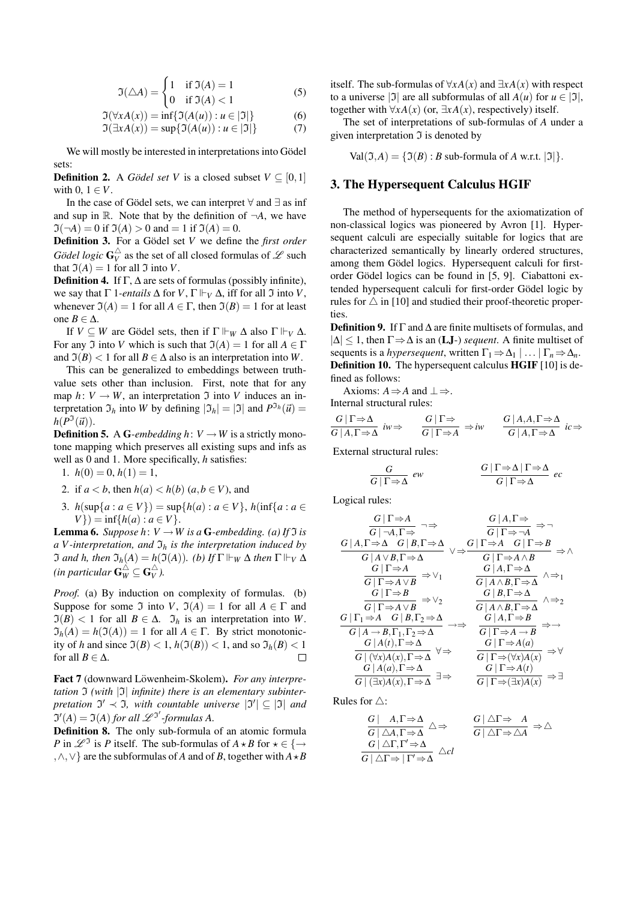$$
\mathfrak{I}(\triangle A) = \begin{cases} 1 & \text{if } \mathfrak{I}(A) = 1 \\ 0 & \text{if } \mathfrak{I}(A) < 1 \end{cases}
$$
 (5)

$$
\Im(\forall x A(x)) = \inf\{\Im(A(u)) : u \in |\Im|\}\tag{6}
$$

$$
\Im(\exists x A(x)) = \sup\{\Im(A(u)) : u \in |\Im|\}\tag{7}
$$

We will mostly be interested in interpretations into Gödel sets:

**Definition 2.** A *Gödel set V* is a closed subset  $V \subseteq [0,1]$ with  $0, 1 \in V$ .

In the case of Gödel sets, we can interpret  $\forall$  and  $\exists$  as inf and sup in  $\mathbb R$ . Note that by the definition of  $\neg A$ , we have  $\mathfrak{I}(\neg A) = 0$  if  $\mathfrak{I}(A) > 0$  and  $= 1$  if  $\mathfrak{I}(A) = 0$ .

**Definition 3.** For a Gödel set V we define the *first order Gödel logic*  $G_V^{\triangle}$  as the set of all closed formulas of  $\mathscr L$  such that  $\mathfrak{I}(A) = 1$  for all  $\mathfrak{I}$  into *V*.

**Definition 4.** If  $\Gamma$ ,  $\Delta$  are sets of formulas (possibly infinite), we say that  $\Gamma$  1*-entails*  $\Delta$  for *V*,  $\Gamma \Vdash_{V} \Delta$ , iff for all  $\Im$  into *V*, whenever  $\mathfrak{I}(A) = 1$  for all  $A \in \Gamma$ , then  $\mathfrak{I}(B) = 1$  for at least one *B* ∈ ∆.

If  $V \subset W$  are Gödel sets, then if  $\Gamma \Vdash_W \Delta$  also  $\Gamma \Vdash_V \Delta$ . For any  $\Im$  into *V* which is such that  $\Im(A) = 1$  for all  $A \in \Gamma$ and  $\mathfrak{I}(B) < 1$  for all  $B \in \Delta$  also is an interpretation into *W*.

This can be generalized to embeddings between truthvalue sets other than inclusion. First, note that for any map  $h: V \to W$ , an interpretation  $\Im$  into *V* induces an interpretation  $\mathfrak{I}_h$  into *W* by defining  $|\mathfrak{I}_h| = |\mathfrak{I}|$  and  $P^{\mathfrak{I}_h}(\vec{u}) =$  $h(P^{\mathfrak{I}}(\vec{u})).$ 

**Definition 5.** A G-embedding h:  $V \rightarrow W$  is a strictly monotone mapping which preserves all existing sups and infs as well as 0 and 1. More specifically, *h* satisfies:

1.  $h(0) = 0, h(1) = 1,$ 

2. if  $a < b$ , then  $h(a) < h(b)$  ( $a, b \in V$ ), and

3.  $h(\sup\{a : a \in V\}) = \sup\{h(a) : a \in V\}, h(\inf\{a : a \in V\})$  $V$ }) = inf{*h*(*a*) : *a*  $\in$  *V* }.

**Lemma 6.** *Suppose h*:  $V \rightarrow W$  *is a* **G**-embedding. (a) If *J is*  $a$  V-interpretation, and  $\mathfrak{I}_h$  *is the interpretation induced by*  $\Im$  *and h, then*  $\Im_h(A) = h(\Im(A))$ *. (b)* If  $\Gamma \Vdash_W \Delta$  *then*  $\Gamma \Vdash_V \Delta$ *(in particular*  $\mathbf{G}_{W}^{\triangle} \subseteq \mathbf{G}_{V}^{\triangle}$ *).* 

*Proof.* (a) By induction on complexity of formulas. (b) Suppose for some  $\Im$  into *V*,  $\Im(A) = 1$  for all  $A \in \Gamma$  and  $\mathfrak{I}(B) < 1$  for all  $B \in \Delta$ .  $\mathfrak{I}_h$  is an interpretation into *W*.  $\mathfrak{I}_h(A) = h(\mathfrak{I}(A)) = 1$  for all  $A \in \Gamma$ . By strict monotonicity of *h* and since  $\mathfrak{I}(B) < 1$ ,  $h(\mathfrak{I}(B)) < 1$ , and so  $\mathfrak{I}_h(B) < 1$ for all *B*  $\in \Delta$ .  $\Box$ 

Fact 7 (downward Löwenheim-Skolem). For any interpre*tation*  $\mathfrak I$  *(with*  $|\mathfrak I|$  *infinite) there is an elementary subinter* $p$ *retation*  $\mathfrak{I}' \prec \mathfrak{I}$ *, with countable universe*  $|\mathfrak{I}'| \subseteq |\mathfrak{I}|$  *and*  $\mathfrak{I}'(A) = \mathfrak{I}(A)$  for all  $\mathscr{L}^{\mathfrak{I}'}$ -formulas A.

Definition 8. The only sub-formula of an atomic formula *P* in  $\mathscr{L}^{\mathfrak{I}}$  is *P* itself. The sub-formulas of  $A \star B$  for  $\star \in \{\to\}$ ,  $\land$ ,  $\lor$ } are the subformulas of *A* and of *B*, together with  $A \star B$  itself. The sub-formulas of ∀*xA*(*x*) and ∃*xA*(*x*) with respect to a universe |J| are all subformulas of all  $A(u)$  for  $u \in [1]$ , together with  $\forall x A(x)$  (or,  $\exists x A(x)$ , respectively) itself.

The set of interpretations of sub-formulas of *A* under a given interpretation  $\mathfrak I$  is denoted by

 $Val(\mathfrak{I}, A) = {\mathfrak{I}(B) : B \text{ sub-formula of } A \text{ w.r.t. } |\mathfrak{I}|\}.$ 

#### 3. The Hypersequent Calculus HGIF

The method of hypersequents for the axiomatization of non-classical logics was pioneered by Avron [1]. Hypersequent calculi are especially suitable for logics that are characterized semantically by linearly ordered structures, among them Gödel logics. Hypersequent calculi for firstorder Gödel logics can be found in [5, 9]. Ciabattoni extended hypersequent calculi for first-order Gödel logic by rules for  $\triangle$  in [10] and studied their proof-theoretic properties.

**Definition 9.** If  $\Gamma$  and  $\Delta$  are finite multisets of formulas, and  $|\Delta|$  ≤ 1, then  $\Gamma$   $\Rightarrow$   $\Delta$  is an (**LJ**-) *sequent*. A finite multiset of sequents is a *hypersequent*, written  $\Gamma_1 \Rightarrow \Delta_1 \mid \ldots \mid \Gamma_n \Rightarrow \Delta_n$ . **Definition 10.** The hypersequent calculus **HGIF** [10] is defined as follows:

Axioms:  $A \Rightarrow A$  and  $\perp \Rightarrow$ .

Internal structural rules:

$$
\frac{G \mid \Gamma \Rightarrow \Delta}{G \mid A, \Gamma \Rightarrow \Delta} \text{ } iw \Rightarrow \qquad \frac{G \mid \Gamma \Rightarrow}{G \mid \Gamma \Rightarrow A} \Rightarrow iw \qquad \frac{G \mid A, A, \Gamma \Rightarrow \Delta}{G \mid A, \Gamma \Rightarrow \Delta} \text{ } ic \Rightarrow
$$

External structural rules: *G*

$$
\frac{G}{G \mid \Gamma \Rightarrow \Delta} \text{ ew} \qquad \frac{G \mid \Gamma \Rightarrow \Delta \mid \Gamma \Rightarrow \Delta}{G \mid \Gamma \Rightarrow \Delta} \text{ ec}
$$

Logical rules:

$$
\frac{G \mid \Gamma \Rightarrow A \quad G \mid A, \Gamma \Rightarrow}{G \mid \neg A, \Gamma \Rightarrow} \Rightarrow \frac{G \mid A, \Gamma \Rightarrow}{G \mid \Gamma \Rightarrow \neg A} \Rightarrow \neg
$$
\n
$$
\frac{G \mid A, \Gamma \Rightarrow \Delta \quad G \mid B, \Gamma \Rightarrow \Delta \quad G \mid \Gamma \Rightarrow A \quad G \mid \Gamma \Rightarrow B}{G \mid \Gamma \Rightarrow A \land B} \Rightarrow \wedge
$$
\n
$$
\frac{G \mid \Gamma \Rightarrow A \quad G \mid \Gamma \Rightarrow A \land B}{G \mid \Gamma \Rightarrow A \land B} \Rightarrow \vee_1
$$
\n
$$
\frac{G \mid \Gamma \Rightarrow B}{G \mid \Gamma \Rightarrow A \lor B} \Rightarrow \vee_2
$$
\n
$$
\frac{G \mid \Gamma \Rightarrow B}{G \mid \Gamma \Rightarrow A \land B} \Rightarrow \vee_2
$$
\n
$$
\frac{G \mid B, \Gamma \Rightarrow \Delta}{G \mid A \land B, \Gamma \Rightarrow \Delta} \land \Rightarrow_2
$$
\n
$$
\frac{G \mid \Gamma \Rightarrow A \quad G \mid B, \Gamma_2 \Rightarrow \Delta}{G \mid A \land B, \Gamma \Rightarrow \Delta} \Rightarrow \frac{G \mid A, \Gamma \Rightarrow B}{G \mid A \land B, \Gamma \Rightarrow \Delta} \Rightarrow \neg
$$
\n
$$
\frac{G \mid A \land B, \Gamma_1 \Rightarrow \Delta}{G \mid A \land B, \Gamma_1 \Rightarrow \Delta} \Rightarrow \frac{G \mid A, \Gamma \Rightarrow B}{G \mid \Gamma \Rightarrow A \land B} \Rightarrow \neg
$$
\n
$$
\frac{G \mid A \land B, \Gamma_1 \Rightarrow \Delta}{G \mid (\Gamma \Rightarrow A \land B)} \Rightarrow \neg
$$
\n
$$
\frac{G \mid A \land B, \Gamma \Rightarrow \Delta}{G \mid (\Gamma \Rightarrow A \land B)} \Rightarrow \neg
$$
\n
$$
\frac{G \mid \Gamma \Rightarrow A \land (a)}{G \mid (\Gamma \Rightarrow A \land (a))} \Rightarrow \forall
$$
\n
$$
\frac{G \mid A \land (a), \Gamma \Rightarrow \Delta}{G \mid (\exists x)A(x), \Gamma \Rightarrow \Delta} \exists \Rightarrow \frac{G \mid \Gamma \Rightarrow A \land (t)}{\Gamma \mid \Gamma \Rightarrow (x)A(x)} \Rightarrow \exists
$$

Rules for  $\triangle$ :

$$
\frac{G \mid A, \Gamma \Rightarrow \Delta}{G \mid \triangle A, \Gamma \Rightarrow \Delta} \triangle \Rightarrow \frac{G \mid \triangle \Gamma \Rightarrow A}{G \mid \triangle \Gamma \Rightarrow \triangle A} \Rightarrow \triangle
$$
  

$$
\frac{G \mid \triangle \Gamma, \Gamma' \Rightarrow \Delta}{G \mid \triangle \Gamma \Rightarrow \Gamma' \Rightarrow \Delta} \triangle cl
$$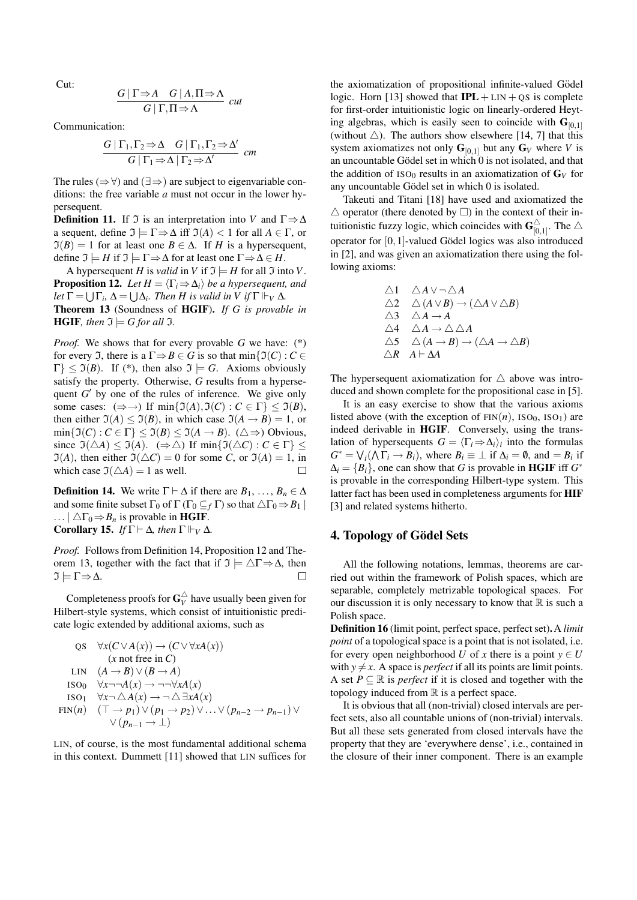Cut:

$$
\frac{G \mid \Gamma \Rightarrow A \quad G \mid A, \Pi \Rightarrow \Lambda}{G \mid \Gamma, \Pi \Rightarrow \Lambda} \quad cut
$$

Communication:

$$
\frac{G|\Gamma_1,\Gamma_2 \Rightarrow \Delta \quad G|\Gamma_1,\Gamma_2 \Rightarrow \Delta'}{G|\Gamma_1 \Rightarrow \Delta|\Gamma_2 \Rightarrow \Delta'} \ \text{cm}
$$

The rules ( $\Rightarrow$   $\forall$ ) and ( $\exists \Rightarrow$ ) are subject to eigenvariable conditions: the free variable *a* must not occur in the lower hypersequent.

**Definition 11.** If  $\Im$  is an interpretation into *V* and  $\Gamma \Rightarrow \Delta$ a sequent, define  $\mathfrak{I} \models \Gamma \Rightarrow \Delta$  iff  $\mathfrak{I}(A) < 1$  for all  $A \in \Gamma$ , or  $\mathfrak{I}(B) = 1$  for at least one  $B \in \Delta$ . If *H* is a hypersequent, define  $\mathfrak{I} = H$  if  $\mathfrak{I} = \Gamma \Rightarrow \Delta$  for at least one  $\Gamma \Rightarrow \Delta \in H$ .

A hypersequent *H* is *valid* in *V* if  $\mathfrak{I} \models H$  for all  $\mathfrak{I}$  into *V*. **Proposition 12.** *Let*  $H = \langle \Gamma_i \Rightarrow \Delta_i \rangle$  *be a hypersequent, and let*  $\Gamma = \bigcup \Gamma_i$ ,  $\Delta = \bigcup \Delta_i$ *. Then H is valid in V if*  $\Gamma \Vdash_V \Delta$ *.* Theorem 13 (Soundness of HGIF). *If G is provable in* **HGIF***, then*  $\mathfrak{I} \models G$  for all  $\mathfrak{I}$ *.* 

*Proof.* We shows that for every provable *G* we have: (\*) for every  $\mathfrak{I}$ , there is a  $\Gamma \Rightarrow B \in G$  is so that min $\{ \mathfrak{I}(C) : C \in$  $\Gamma$ }  $\leq$   $\mathfrak{I}(B)$ . If (\*), then also  $\mathfrak{I} \models G$ . Axioms obviously satisfy the property. Otherwise, *G* results from a hypersequent  $G'$  by one of the rules of inference. We give only some cases:  $(\Rightarrow \rightarrow)$  If min{ $\mathfrak{I}(A), \mathfrak{I}(C)$  :  $C \in \Gamma$ }  $\leq \mathfrak{I}(B)$ , then either  $\mathfrak{I}(A) \leq \mathfrak{I}(B)$ , in which case  $\mathfrak{I}(A \rightarrow B) = 1$ , or  $\min\{\mathfrak{I}(C): C \in \Gamma\} \leq \mathfrak{I}(B) \leq \mathfrak{I}(A \to B)$ . ( $\triangle \Rightarrow$ ) Obvious, since  $\Im(\triangle A) \leq \Im(A)$ . ( $\Rightarrow \triangle$ ) If min{ $\Im(\triangle C)$ :  $C \in \Gamma$ }  $\leq$  $\Im(A)$ , then either  $\Im(\triangle C) = 0$  for some *C*, or  $\Im(A) = 1$ , in which case  $\mathfrak{I}(\Delta A) = 1$  as well. П

**Definition 14.** We write  $\Gamma \vdash \Delta$  if there are  $B_1, \ldots, B_n \in \Delta$ and some finite subset  $\Gamma_0$  of  $\Gamma(\Gamma_0 \subseteq_f \Gamma)$  so that  $\triangle \Gamma_0 \Rightarrow B_1$ ...  $\Delta\Gamma_0 \Rightarrow B_n$  is provable in **HGIF**. **Corollary 15.** *If*  $\Gamma \vdash \Delta$ *, then*  $\Gamma \Vdash_V \Delta$ *.* 

*Proof.* Follows from Definition 14, Proposition 12 and Theorem 13, together with the fact that if  $\mathfrak{I} \models \triangle \Gamma \Rightarrow \Delta$ , then  $\Im \models \Gamma \Rightarrow \Delta$ .  $\Box$ 

Completeness proofs for  $G_V^{\triangle}$  have usually been given for Hilbert-style systems, which consist of intuitionistic predicate logic extended by additional axioms, such as

QS 
$$
\forall x(C \lor A(x)) \rightarrow (C \lor \forall xA(x))
$$
  
\n(*x* not free in *C*)  
\nLIN  $(A \rightarrow B) \lor (B \rightarrow A)$   
\nISO  $\forall x \neg \neg A(x) \rightarrow \neg \neg \forall xA(x)$   
\nISO<sub>1</sub>  $\forall x \neg \triangle A(x) \rightarrow \neg \triangle \exists xA(x)$   
\nFIN(*n*)  $(\top \rightarrow p_1) \lor (p_1 \rightarrow p_2) \lor \dots \lor (p_{n-2} \rightarrow p_{n-1}) \lor \lor (p_{n-1} \rightarrow \bot)$ 

LIN, of course, is the most fundamental additional schema in this context. Dummett [11] showed that LIN suffices for the axiomatization of propositional infinite-valued Gödel logic. Horn [13] showed that  $IPL + LIN + QS$  is complete for first-order intuitionistic logic on linearly-ordered Heyting algebras, which is easily seen to coincide with  $G_{[0,1]}$ (without  $\triangle$ ). The authors show elsewhere [14, 7] that this system axiomatizes not only  $G_{[0,1]}$  but any  $G_V$  where *V* is an uncountable Gödel set in which  $0$  is not isolated, and that the addition of  $ISO<sub>0</sub>$  results in an axiomatization of  $G<sub>V</sub>$  for any uncountable Gödel set in which  $0$  is isolated.

Takeuti and Titani [18] have used and axiomatized the  $\triangle$  operator (there denoted by  $\square$ ) in the context of their intuitionistic fuzzy logic, which coincides with  $\mathbf{G}_{10}^{\triangle}$  $\sum_{[0,1]}^{\triangle}$ . The  $\triangle$ operator for  $[0,1]$ -valued Gödel logics was also introduced in [2], and was given an axiomatization there using the following axioms:

$$
\begin{array}{ll}\n\triangle 1 & \triangle A \lor \neg \triangle A \\
\triangle 2 & \triangle (A \lor B) \to (\triangle A \lor \triangle B) \\
\triangle 3 & \triangle A \to A \\
\triangle 4 & \triangle A \to \triangle \triangle A \\
\triangle 5 & \triangle (A \to B) \to (\triangle A \to \triangle B) \\
\triangle R & A \vdash \triangle A\n\end{array}
$$

The hypersequent axiomatization for  $\triangle$  above was introduced and shown complete for the propositional case in [5].

It is an easy exercise to show that the various axioms listed above (with the exception of  $FIN(n)$ ,  $ISO_0$ ,  $ISO_1$ ) are indeed derivable in HGIF. Conversely, using the translation of hypersequents  $G = \langle \Gamma_i \Rightarrow \Delta_i \rangle_i$  into the formulas  $G^* = \bigvee_i (\bigwedge \Gamma_i \to B_i)$ , where  $B_i \equiv \bot$  if  $\Delta_i = \emptyset$ , and  $=B_i$  if  $\Delta_i = \{B_i\}$ , one can show that *G* is provable in **HGIF** iff *G*<sup>\*</sup> is provable in the corresponding Hilbert-type system. This latter fact has been used in completeness arguments for HIF [3] and related systems hitherto.

#### 4. Topology of Gödel Sets

All the following notations, lemmas, theorems are carried out within the framework of Polish spaces, which are separable, completely metrizable topological spaces. For our discussion it is only necessary to know that  $\mathbb R$  is such a Polish space.

Definition 16 (limit point, perfect space, perfect set).A *limit point* of a topological space is a point that is not isolated, i.e. for every open neighborhood *U* of *x* there is a point  $y \in U$ with  $y \neq x$ . A space is *perfect* if all its points are limit points. A set  $P \subseteq \mathbb{R}$  is *perfect* if it is closed and together with the topology induced from  $\mathbb R$  is a perfect space.

It is obvious that all (non-trivial) closed intervals are perfect sets, also all countable unions of (non-trivial) intervals. But all these sets generated from closed intervals have the property that they are 'everywhere dense', i.e., contained in the closure of their inner component. There is an example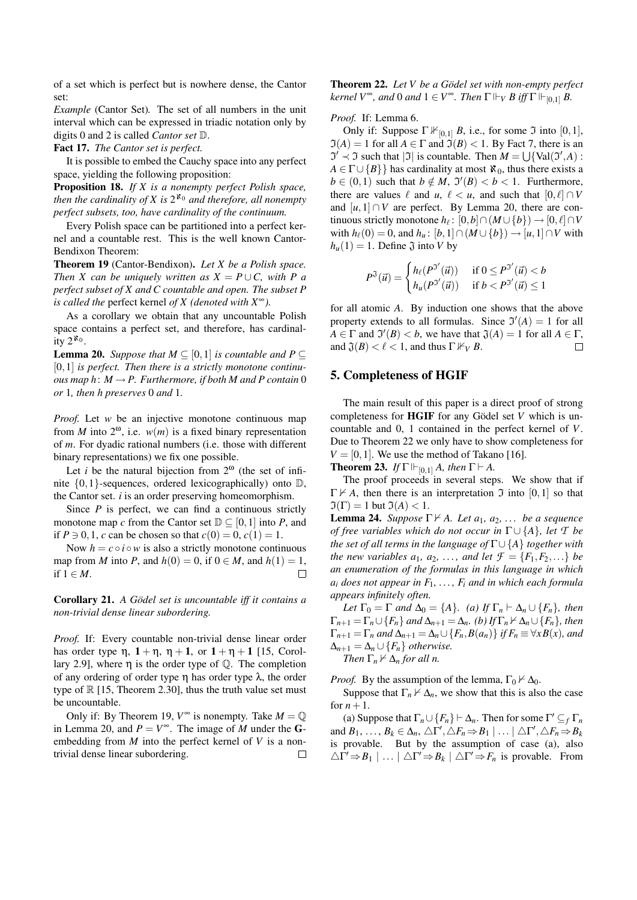of a set which is perfect but is nowhere dense, the Cantor set:

*Example* (Cantor Set)*.* The set of all numbers in the unit interval which can be expressed in triadic notation only by digits 0 and 2 is called *Cantor set* D.

Fact 17. *The Cantor set is perfect.*

It is possible to embed the Cauchy space into any perfect space, yielding the following proposition:

Proposition 18. *If X is a nonempty perfect Polish space,* then the cardinality of X is  $2^{\aleph_0}$  and therefore, all nonempty *perfect subsets, too, have cardinality of the continuum.*

Every Polish space can be partitioned into a perfect kernel and a countable rest. This is the well known Cantor-Bendixon Theorem:

Theorem 19 (Cantor-Bendixon). *Let X be a Polish space. Then X can be uniquely written as*  $X = P \cup C$ *, with P a perfect subset of X and C countable and open. The subset P is called the* perfect kernel *of X (denoted with X*∞*).*

As a corollary we obtain that any uncountable Polish space contains a perfect set, and therefore, has cardinality  $2^{k_0}$ .

**Lemma 20.** *Suppose that*  $M \subseteq [0,1]$  *is countable and*  $P \subseteq$ [0,1] *is perfect. Then there is a strictly monotone continuous map h*:  $M \rightarrow P$ . Furthermore, if both M and P contain 0 *or* 1*, then h preserves* 0 *and* 1*.*

*Proof.* Let *w* be an injective monotone continuous map from *M* into  $2^{\omega}$ , i.e.  $w(m)$  is a fixed binary representation of *m*. For dyadic rational numbers (i.e. those with different binary representations) we fix one possible.

Let *i* be the natural bijection from  $2^{\omega}$  (the set of infinite  $\{0,1\}$ -sequences, ordered lexicographically) onto  $\mathbb{D}$ , the Cantor set. *i* is an order preserving homeomorphism.

Since *P* is perfect, we can find a continuous strictly monotone map *c* from the Cantor set  $D \subset [0,1]$  into *P*, and if  $P \ni 0, 1, c$  can be chosen so that  $c(0) = 0, c(1) = 1$ .

Now  $h = c \circ i \circ w$  is also a strictly monotone continuous map from *M* into *P*, and  $h(0) = 0$ , if  $0 \in M$ , and  $h(1) = 1$ , if 1 ∈ *M*.  $\Box$ 

Corollary 21. *A Gödel set is uncountable iff it contains a non-trivial dense linear subordering.*

*Proof.* If: Every countable non-trivial dense linear order has order type  $\eta$ ,  $1 + \eta$ ,  $\eta + 1$ , or  $1 + \eta + 1$  [15, Corollary 2.9], where  $\eta$  is the order type of  $\mathbb Q$ . The completion of any ordering of order type η has order type λ, the order type of  $\mathbb R$  [15, Theorem 2.30], thus the truth value set must be uncountable.

Only if: By Theorem 19,  $V^{\infty}$  is nonempty. Take  $M = \mathbb{Q}$ in Lemma 20, and  $P = V^{\infty}$ . The image of *M* under the **G**embedding from *M* into the perfect kernel of *V* is a nontrivial dense linear subordering.  $\Box$  Theorem 22. Let V be a Gödel set with non-empty perfect *kernel*  $V^{\infty}$ *, and* 0 *and*  $1 \in V^{\infty}$ *. Then*  $\Gamma \Vdash_V B$  *iff*  $\Gamma \Vdash_{[0,1]} B$ *.* 

*Proof.* If: Lemma 6.

Only if: Suppose  $\Gamma \nvDash_{[0,1]} B$ , i.e., for some  $\Im$  into  $[0,1]$ ,  $\mathfrak{I}(A) = 1$  for all  $A \in \Gamma$  and  $\mathfrak{I}(B) < 1$ . By Fact 7, there is an  $\mathfrak{I}' \prec \mathfrak{I}$  such that  $|\mathfrak{I}|$  is countable. Then  $M = \bigcup \{Val(\mathfrak{I}',A) :$  $A \in \Gamma \cup \{B\}$  has cardinality at most  $\aleph_0$ , thus there exists a  $b \in (0,1)$  such that  $b \notin M$ ,  $\mathfrak{I}'(B) < b < 1$ . Furthermore, there are values  $\ell$  and  $u, \ell < u$ , and such that  $[0, \ell] \cap V$ and  $[u,1] \cap V$  are perfect. By Lemma 20, there are continuous strictly monotone  $h_{\ell}$ :  $[0,b] \cap (M \cup \{b\}) \rightarrow [0,\ell] \cap V$ with  $h_{\ell}(0) = 0$ , and  $h_u: [b,1] \cap (M \cup \{b\}) \rightarrow [u,1] \cap V$  with  $h_u(1) = 1$ . Define  $\mathfrak J$  into *V* by

$$
P^{3}(\vec{u}) = \begin{cases} h_{\ell}(P^{3'}(\vec{u})) & \text{if } 0 \le P^{3'}(\vec{u}) < b \\ h_{u}(P^{3'}(\vec{u})) & \text{if } b < P^{3'}(\vec{u}) \le 1 \end{cases}
$$

for all atomic *A*. By induction one shows that the above property extends to all formulas. Since  $\mathfrak{I}'(A) = 1$  for all  $A \in \Gamma$  and  $\mathfrak{I}'(B) < b$ , we have that  $\mathfrak{J}(A) = 1$  for all  $A \in \Gamma$ , and  $\mathfrak{J}(B) < \ell < 1$ , and thus  $\Gamma \nvDash_V B$ .  $\Box$ 

#### 5. Completeness of HGIF

The main result of this paper is a direct proof of strong completeness for **HGIF** for any Gödel set  $V$  which is uncountable and 0, 1 contained in the perfect kernel of *V*. Due to Theorem 22 we only have to show completeness for  $V = [0, 1]$ . We use the method of Takano [16].

**Theorem 23.** *If*  $\Gamma \vdash_{[0,1]} A$ *, then*  $\Gamma \vdash A$ *.* 

The proof proceeds in several steps. We show that if  $\Gamma \nvdash A$ , then there is an interpretation  $\Im$  into [0,1] so that  $\Im(\Gamma) = 1$  but  $\Im(A) < 1$ .

**Lemma 24.** *Suppose*  $\Gamma \nvdash A$ *. Let a*<sub>1</sub>*, a*<sub>2</sub>*, ... be a sequence of free variables which do not occur in*  $\Gamma \cup \{A\}$ *, let T be the set of all terms in the language of* Γ∪ {*A*} *together with the new variables a*<sub>1</sub>*, a*<sub>2</sub>*, ..., and let*  $\mathcal{F} = \{F_1, F_2, ...\}$  *be an enumeration of the formulas in this language in which*  $a_i$  *does not appear in*  $F_1, \ldots, F_i$  *and in which each formula appears infinitely often.*

*Let*  $\Gamma_0 = \Gamma$  *and*  $\Delta_0 = \{A\}$ *. (a)* If  $\Gamma_n \vdash \Delta_n \cup \{F_n\}$ *, then*  $\Gamma_{n+1} = \Gamma_n \cup \{F_n\}$  and  $\Delta_{n+1} = \Delta_n$ *. (b)* If  $\Gamma_n \nvdash \Delta_n \cup \{F_n\}$ *, then*  $\Gamma_{n+1} = \Gamma_n$  and  $\Delta_{n+1} = \Delta_n \cup \{F_n, B(a_n)\}$  if  $F_n \equiv \forall x B(x)$ , and  $\Delta_{n+1} = \Delta_n \cup \{F_n\}$  *otherwise. Then*  $\Gamma_n \nvdash \Delta_n$  *for all n.* 

*Proof.* By the assumption of the lemma,  $\Gamma_0 \nvdash \Delta_0$ .

Suppose that  $\Gamma_n \nvdash \Delta_n$ , we show that this is also the case for  $n+1$ .

(a) Suppose that  $\Gamma_n \cup \{F_n\} \vdash \Delta_n$ . Then for some  $\Gamma' \subseteq_f \Gamma_n$ and  $B_1, \ldots, B_k \in \Delta_n, \triangle \Gamma', \triangle F_n \Rightarrow B_1 \mid \ldots \mid \triangle \Gamma', \triangle F_n \Rightarrow B_k$ is provable. But by the assumption of case (a), also  $\triangle \Gamma' \Rightarrow B_1 \mid \dots \mid \triangle \Gamma' \Rightarrow B_k \mid \triangle \Gamma' \Rightarrow F_n$  is provable. From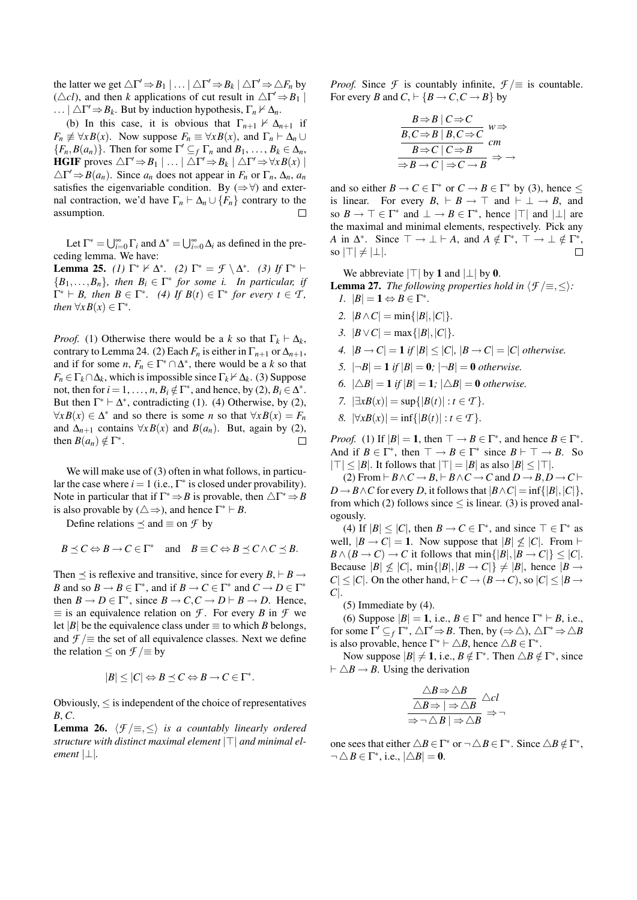the latter we get  $\triangle \Gamma' \Rightarrow B_1 | \dots | \triangle \Gamma' \Rightarrow B_k | \triangle \Gamma' \Rightarrow \triangle F_n$  by ( $\triangle$ *cl*), and then *k* applications of cut result in  $\triangle \Gamma' \Rightarrow B_1$ ...  $|\triangle \Gamma' \Rightarrow B_k$ . But by induction hypothesis,  $\Gamma_n \nvdash \triangle_n$ .

(b) In this case, it is obvious that  $\Gamma_{n+1} \nvdash \Delta_{n+1}$  if  $F_n \not\equiv \forall x B(x)$ . Now suppose  $F_n \equiv \forall x B(x)$ , and  $\Gamma_n \vdash \Delta_n \cup \Delta_n$  ${F_n, B(a_n)}$ . Then for some  $\Gamma' \subseteq_f \Gamma_n$  and  $B_1, \ldots, B_k \in \Delta_n$ , **HGIF** proves  $\triangle \Gamma' \Rightarrow B_1 | \dots | \triangle \Gamma' \Rightarrow B_k | \triangle \Gamma' \Rightarrow \forall x B(x) |$  $\triangle \Gamma' \Rightarrow B(a_n)$ . Since  $a_n$  does not appear in  $F_n$  or  $\Gamma_n$ ,  $\triangle_n$ ,  $a_n$ satisfies the eigenvariable condition. By  $(\Rightarrow \forall)$  and external contraction, we'd have  $\Gamma_n \vdash \Delta_n \cup \{F_n\}$  contrary to the assumption.  $\Box$ 

Let  $\Gamma^* = \bigcup_{i=0}^{\infty} \Gamma_i$  and  $\Delta^* = \bigcup_{i=0}^{\infty} \Delta_i$  as defined in the preceding lemma. We have:

**Lemma 25.** *(1)*  $\Gamma^* \nvDash \Delta^*$ . *(2)*  $\Gamma^* = \mathcal{F} \setminus \Delta^*$ . *(3)* If  $\Gamma^* \vdash$  ${B_1, \ldots, B_n}$ *, then*  $B_i \in \Gamma^*$  for some *i. In particular, if*  $\Gamma^* \vdash B$ , then  $B \in \Gamma^*$ . (4) If  $B(t) \in \Gamma^*$  for every  $t \in \mathcal{T}$ , *then*  $\forall x B(x) \in \Gamma^*$ .

*Proof.* (1) Otherwise there would be a *k* so that  $\Gamma_k \vdash \Delta_k$ , contrary to Lemma 24. (2) Each  $F_n$  is either in  $\Gamma_{n+1}$  or  $\Delta_{n+1}$ , and if for some *n*,  $F_n \in \Gamma^* \cap \Delta^*$ , there would be a *k* so that  $F_n \in \Gamma_k \cap \Delta_k$ , which is impossible since  $\Gamma_k \nvdash \Delta_k$ . (3) Suppose not, then for  $i = 1, ..., n$ ,  $B_i \notin \Gamma^*$ , and hence, by (2),  $B_i \in \Delta^*$ . But then  $\Gamma^* \vdash \Delta^*$ , contradicting (1). (4) Otherwise, by (2),  $\forall x B(x) \in \Delta^*$  and so there is some *n* so that  $\forall x B(x) = F_n$ and  $\Delta_{n+1}$  contains  $\forall x B(x)$  and  $B(a_n)$ . But, again by (2), then  $B(a_n) \notin \Gamma^*$ .  $\Box$ 

We will make use of (3) often in what follows, in particular the case where  $i = 1$  (i.e.,  $\Gamma^*$  is closed under provability). Note in particular that if  $\Gamma^* \Rightarrow B$  is provable, then  $\triangle \Gamma^* \Rightarrow B$ is also provable by  $(\triangle \Rightarrow)$ , and hence  $\Gamma^* \vdash B$ .

Define relations  $\prec$  and  $\equiv$  on *F* by

$$
B \preceq C \Leftrightarrow B \to C \in \Gamma^* \quad \text{and} \quad B \equiv C \Leftrightarrow B \preceq C \wedge C \preceq B.
$$

Then  $\preceq$  is reflexive and transitive, since for every *B*,  $\vdash$  *B*  $\rightarrow$ *B* and so  $B \to B \in \Gamma^*$ , and if  $B \to C \in \Gamma^*$  and  $C \to D \in \Gamma^*$ then  $B \to D \in \Gamma^*$ , since  $B \to C, C \to D \vdash B \to D$ . Hence,  $\equiv$  is an equivalence relation on *F*. For every *B* in *F* we let |*B*| be the equivalence class under  $\equiv$  to which *B* belongs, and  $\mathcal{F}$  / $\equiv$  the set of all equivalence classes. Next we define the relation  $\leq$  on  $\mathcal{F}$  / $\equiv$  by

$$
|B| \leq |C| \Leftrightarrow B \leq C \Leftrightarrow B \to C \in \Gamma^*.
$$

Obviously, ≤ is independent of the choice of representatives *B*, *C*.

**Lemma 26.**  $\langle \mathcal{F}/\equiv,\leq \rangle$  *is a countably linearly ordered* structure with distinct maximal element  $|\top|$  and minimal el*ement* |⊥|*.*

*Proof.* Since *F* is countably infinite,  $f \equiv$  is countable. For every *B* and  $C_1 \rightharpoonup {B \rightarrow C, C \rightarrow B}$  by

$$
\frac{B \Rightarrow B \mid C \Rightarrow C}{B, C \Rightarrow B \mid B, C \Rightarrow C} \quad w \Rightarrow
$$
  

$$
\frac{B \Rightarrow C \mid C \Rightarrow B}{B \Rightarrow C \mid C \Rightarrow B} \quad cm
$$
  

$$
\Rightarrow B \rightarrow C \mid \Rightarrow C \rightarrow B \quad \Rightarrow
$$

and so either  $B \to C \in \Gamma^*$  or  $C \to B \in \Gamma^*$  by (3), hence  $\leq$ is linear. For every  $B_+ \vdash B \to \top$  and  $\vdash \bot \to B$ , and so  $B \to \top \in \Gamma^*$  and  $\bot \to B \in \Gamma^*$ , hence  $|\top|$  and  $|\bot|$  are the maximal and minimal elements, respectively. Pick any A in  $\Delta^*$ . Since  $\top \to \bot \vdash A$ , and  $A \notin \Gamma^*$ ,  $\top \to \bot \notin \Gamma^*$ , so  $|\top| \neq |\perp|$ .

We abbreviate  $|\top|$  by 1 and  $|\bot|$  by 0.

**Lemma 27.** *The following properties hold in*  $\langle f | \equiv , \leq \rangle$ *: 1.*  $|B| = 1 \Leftrightarrow B \in \Gamma^*$ .

- *2.*  $|B \wedge C| = \min\{|B|, |C|\}.$
- *3.*  $|B \vee C| = \max\{|B|, |C|\}.$
- *4.*  $|B \rightarrow C| = 1$  *if*  $|B| \leq |C|$ ,  $|B \rightarrow C| = |C|$  *otherwise.*
- *5.*  $|\neg B| = 1$  *if*  $|B| = 0$ ;  $|\neg B| = 0$  *otherwise.*
- *6.*  $|\triangle B| = 1$  *if*  $|B| = 1$ ;  $|\triangle B| = 0$  *otherwise.*
- *7.*  $|\exists x B(x)| = \sup\{|B(t)| : t \in T\}.$
- *8.*  $|\forall x B(x)| = \inf\{|B(t)| : t \in T\}$ *.*

*Proof.* (1) If  $|B| = 1$ , then  $\top \rightarrow B \in \Gamma^*$ , and hence  $B \in \Gamma^*$ . And if  $B \in \Gamma^*$ , then  $\top \to B \in \Gamma^*$  since  $B \vdash \top \to B$ . So  $|T| < |B|$ . It follows that  $|T| = |B|$  as also  $|B| < |T|$ .

(2) From  $\vdash B \land C \rightarrow B, \vdash B \land C \rightarrow C$  and  $D \rightarrow B, D \rightarrow C \vdash$  $D \rightarrow B \land C$  for every *D*, it follows that  $|B \land C| = \inf\{|B|, |C|\},$ from which (2) follows since  $\leq$  is linear. (3) is proved analogously.

(4) If  $|B| \leq |C|$ , then  $B \to C \in \Gamma^*$ , and since  $\top \in \Gamma^*$  as well,  $|B \to C| = 1$ . Now suppose that  $|B| \nleq |C|$ . From  $\vdash$  $B \wedge (B \rightarrow C) \rightarrow C$  it follows that  $\min\{|B|, |B \rightarrow C|\} \leq |C|$ . Because  $|B| \nleq |C|$ ,  $\min\{|B|, |B \to C|\} \neq |B|$ , hence  $|B \to$  $|C| \leq |C|$ . On the other hand,  $\vdash C \rightarrow (B \rightarrow C)$ , so  $|C| \leq |B \rightarrow C$ *C*|.

(5) Immediate by (4).

(6) Suppose  $|B| = 1$ , i.e.,  $B \in \Gamma^*$  and hence  $\Gamma^* \vdash B$ , i.e., for some  $\Gamma' \subseteq_f \Gamma^*$ ,  $\triangle \Gamma' \Rightarrow B$ . Then, by  $(\Rightarrow \triangle)$ ,  $\triangle \Gamma^* \Rightarrow \triangle B$ is also provable, hence  $\Gamma^* \vdash \triangle B$ , hence  $\triangle B \in \Gamma^*$ .

Now suppose  $|B| \neq 1$ , i.e.,  $B \notin \Gamma^*$ . Then  $\triangle B \notin \Gamma^*$ , since  $\vdash \triangle B \rightarrow B$ . Using the derivation

$$
\frac{\triangle B \Rightarrow \triangle B}{\triangle B \Rightarrow |\Rightarrow \triangle B} \triangle c l
$$
  

$$
\Rightarrow \neg \triangle B | \Rightarrow \triangle B \Rightarrow \neg
$$

one sees that either  $\triangle B \in \Gamma^*$  or  $\neg \triangle B \in \Gamma^*$ . Since  $\triangle B \notin \Gamma^*$ ,  $\neg \triangle B \in \Gamma^*$ , i.e.,  $|\triangle B| = 0$ .